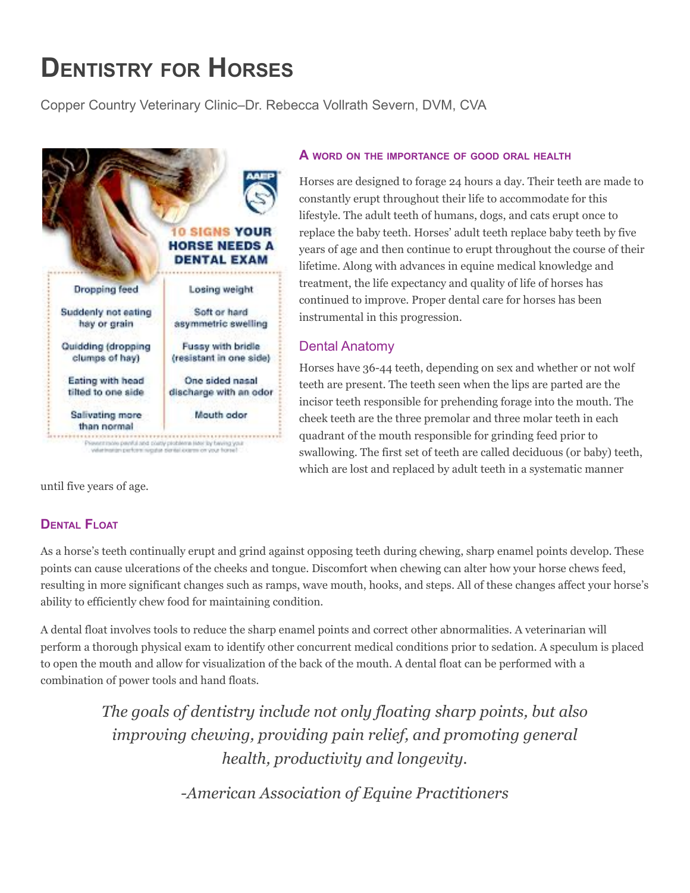# **DENTISTRY FOR HORSES**

Copper Country Veterinary Clinic–Dr. Rebecca Vollrath Severn, DVM, CVA



#### **A WORD ON THE IMPORTANCE OF GOOD ORAL HEALTH**

Horses are designed to forage 24 hours a day. Their teeth are made to constantly erupt throughout their life to accommodate for this lifestyle. The adult teeth of humans, dogs, and cats erupt once to replace the baby teeth. Horses' adult teeth replace baby teeth by five years of age and then continue to erupt throughout the course of their lifetime. Along with advances in equine medical knowledge and treatment, the life expectancy and quality of life of horses has continued to improve. Proper dental care for horses has been instrumental in this progression.

## Dental Anatomy

Horses have 36-44 teeth, depending on sex and whether or not wolf teeth are present. The teeth seen when the lips are parted are the incisor teeth responsible for prehending forage into the mouth. The cheek teeth are the three premolar and three molar teeth in each quadrant of the mouth responsible for grinding feed prior to swallowing. The first set of teeth are called deciduous (or baby) teeth, which are lost and replaced by adult teeth in a systematic manner

until five years of age.

# **DENTAL FLOAT**

As a horse's teeth continually erupt and grind against opposing teeth during chewing, sharp enamel points develop. These points can cause ulcerations of the cheeks and tongue. Discomfort when chewing can alter how your horse chews feed, resulting in more significant changes such as ramps, wave mouth, hooks, and steps. All of these changes affect your horse's ability to efficiently chew food for maintaining condition.

A dental float involves tools to reduce the sharp enamel points and correct other abnormalities. A veterinarian will perform a thorough physical exam to identify other concurrent medical conditions prior to sedation. A speculum is placed to open the mouth and allow for visualization of the back of the mouth. A dental float can be performed with a combination of power tools and hand floats.

> *The goals of dentistry include not only floating sharp points, but also improving chewing, providing pain relief, and promoting general health, productivity and longevity.*

> > *-American Association of Equine Practitioners*